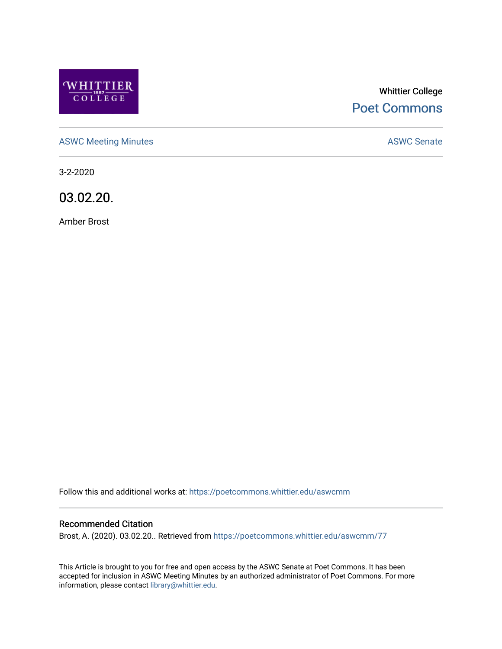

# Whittier College [Poet Commons](https://poetcommons.whittier.edu/)

[ASWC Meeting Minutes](https://poetcommons.whittier.edu/aswcmm) **ASWC Senate** 

3-2-2020

03.02.20.

Amber Brost

Follow this and additional works at: [https://poetcommons.whittier.edu/aswcmm](https://poetcommons.whittier.edu/aswcmm?utm_source=poetcommons.whittier.edu%2Faswcmm%2F77&utm_medium=PDF&utm_campaign=PDFCoverPages)

#### Recommended Citation

Brost, A. (2020). 03.02.20.. Retrieved from [https://poetcommons.whittier.edu/aswcmm/77](https://poetcommons.whittier.edu/aswcmm/77?utm_source=poetcommons.whittier.edu%2Faswcmm%2F77&utm_medium=PDF&utm_campaign=PDFCoverPages)

This Article is brought to you for free and open access by the ASWC Senate at Poet Commons. It has been accepted for inclusion in ASWC Meeting Minutes by an authorized administrator of Poet Commons. For more information, please contact [library@whittier.edu.](mailto:library@whittier.edu)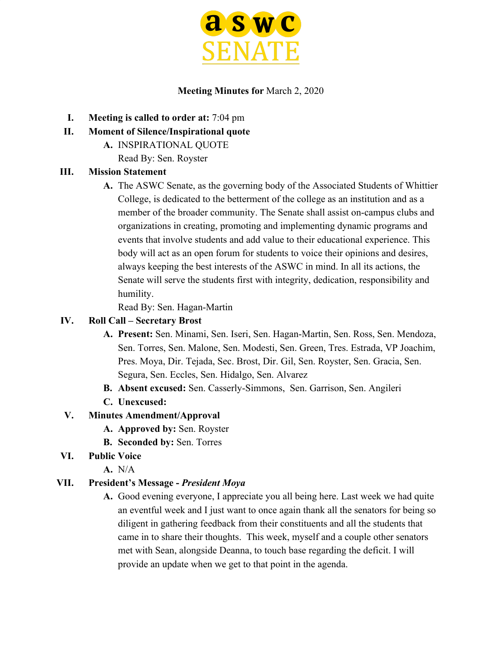

#### **Meeting Minutes for** March 2, 2020

- **I. Meeting is called to order at:** 7:04 pm
- **II. Moment of Silence/Inspirational quote**
	- **A.** INSPIRATIONAL QUOTE

Read By: Sen. Royster

#### **III. Mission Statement**

**A.** The ASWC Senate, as the governing body of the Associated Students of Whittier College, is dedicated to the betterment of the college as an institution and as a member of the broader community. The Senate shall assist on-campus clubs and organizations in creating, promoting and implementing dynamic programs and events that involve students and add value to their educational experience. This body will act as an open forum for students to voice their opinions and desires, always keeping the best interests of the ASWC in mind. In all its actions, the Senate will serve the students first with integrity, dedication, responsibility and humility.

Read By: Sen. Hagan-Martin

#### **IV. Roll Call – Secretary Brost**

- **A. Present:** Sen. Minami, Sen. Iseri, Sen. Hagan-Martin, Sen. Ross, Sen. Mendoza, Sen. Torres, Sen. Malone, Sen. Modesti, Sen. Green, Tres. Estrada, VP Joachim, Pres. Moya, Dir. Tejada, Sec. Brost, Dir. Gil, Sen. Royster, Sen. Gracia, Sen. Segura, Sen. Eccles, Sen. Hidalgo, Sen. Alvarez
- **B. Absent excused:** Sen. Casserly-Simmons, Sen. Garrison, Sen. Angileri
- **C. Unexcused:**

#### **V. Minutes Amendment/Approval**

- **A. Approved by:** Sen. Royster
- **B. Seconded by:** Sen. Torres
- **VI. Public Voice**
	- **A.** N/A

#### **VII. President's Message -** *President Moya*

**A.** Good evening everyone, I appreciate you all being here. Last week we had quite an eventful week and I just want to once again thank all the senators for being so diligent in gathering feedback from their constituents and all the students that came in to share their thoughts. This week, myself and a couple other senators met with Sean, alongside Deanna, to touch base regarding the deficit. I will provide an update when we get to that point in the agenda.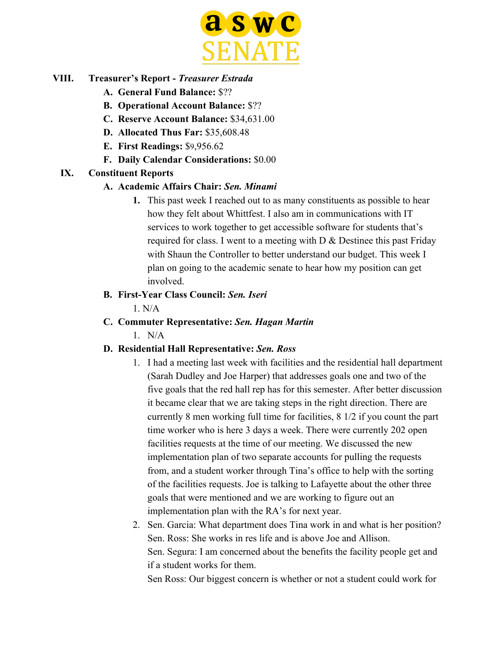

# **VIII. Treasurer's Report -** *Treasurer Estrada*

- **A. General Fund Balance:** \$??
- **B. Operational Account Balance:** \$??
- **C. Reserve Account Balance:** \$34,631.00
- **D. Allocated Thus Far:** \$35,608.48
- **E. First Readings:** \$9,956.62
- **F. Daily Calendar Considerations:** \$0.00

#### **IX. Constituent Reports**

#### **A. Academic Affairs Chair:** *Sen. Minami*

**1.** This past week I reached out to as many constituents as possible to hear how they felt about Whittfest. I also am in communications with IT services to work together to get accessible software for students that's required for class. I went to a meeting with  $D \&$  Destinee this past Friday with Shaun the Controller to better understand our budget. This week I plan on going to the academic senate to hear how my position can get involved.

#### **B. First-Year Class Council:** *Sen. Iseri*

1. N/A

**C. Commuter Representative:** *Sen. Hagan Martin*

 $1$  N/A

#### **D. Residential Hall Representative:** *Sen. Ross*

- 1. I had a meeting last week with facilities and the residential hall department (Sarah Dudley and Joe Harper) that addresses goals one and two of the five goals that the red hall rep has for this semester. After better discussion it became clear that we are taking steps in the right direction. There are currently 8 men working full time for facilities, 8 1/2 if you count the part time worker who is here 3 days a week. There were currently 202 open facilities requests at the time of our meeting. We discussed the new implementation plan of two separate accounts for pulling the requests from, and a student worker through Tina's office to help with the sorting of the facilities requests. Joe is talking to Lafayette about the other three goals that were mentioned and we are working to figure out an implementation plan with the RA's for next year.
- 2. Sen. Garcia: What department does Tina work in and what is her position? Sen. Ross: She works in res life and is above Joe and Allison. Sen. Segura: I am concerned about the benefits the facility people get and if a student works for them.

Sen Ross: Our biggest concern is whether or not a student could work for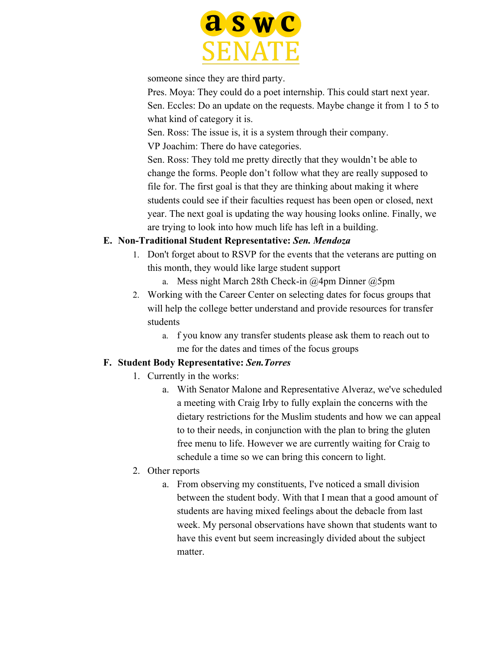

someone since they are third party.

Pres. Moya: They could do a poet internship. This could start next year. Sen. Eccles: Do an update on the requests. Maybe change it from 1 to 5 to what kind of category it is.

Sen. Ross: The issue is, it is a system through their company.

VP Joachim: There do have categories.

Sen. Ross: They told me pretty directly that they wouldn't be able to change the forms. People don't follow what they are really supposed to file for. The first goal is that they are thinking about making it where students could see if their faculties request has been open or closed, next year. The next goal is updating the way housing looks online. Finally, we are trying to look into how much life has left in a building.

# **E. Non-Traditional Student Representative:** *Sen. Mendoza*

- 1. Don't forget about to RSVP for the events that the veterans are putting on this month, they would like large student support
	- a. Mess night March 28th Check-in @4pm Dinner @5pm
- 2. Working with the Career Center on selecting dates for focus groups that will help the college better understand and provide resources for transfer students
	- a. f you know any transfer students please ask them to reach out to me for the dates and times of the focus groups

# **F. Student Body Representative:** *Sen.Torres*

- 1. Currently in the works:
	- a. With Senator Malone and Representative Alveraz, we've scheduled a meeting with Craig Irby to fully explain the concerns with the dietary restrictions for the Muslim students and how we can appeal to to their needs, in conjunction with the plan to bring the gluten free menu to life. However we are currently waiting for Craig to schedule a time so we can bring this concern to light.
- 2. Other reports
	- a. From observing my constituents, I've noticed a small division between the student body. With that I mean that a good amount of students are having mixed feelings about the debacle from last week. My personal observations have shown that students want to have this event but seem increasingly divided about the subject matter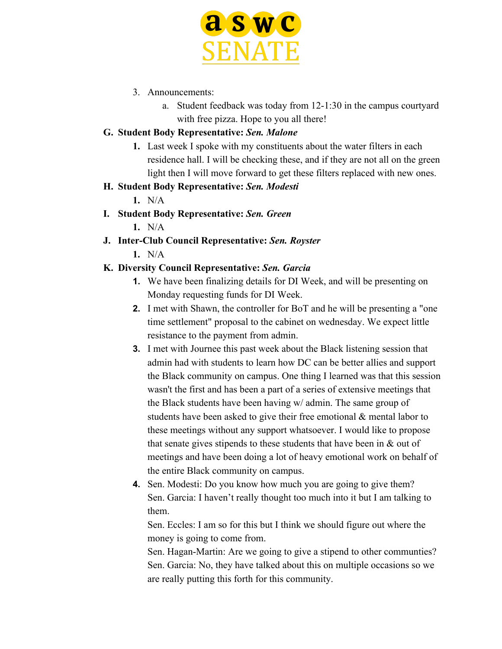

- 3. Announcements:
	- a. Student feedback was today from 12-1:30 in the campus courtyard with free pizza. Hope to you all there!

# **G. Student Body Representative:** *Sen. Malone*

- **1.** Last week I spoke with my constituents about the water filters in each residence hall. I will be checking these, and if they are not all on the green light then I will move forward to get these filters replaced with new ones.
- **H. Student Body Representative:** *Sen. Modesti*
	- **1.** N/A
- **I. Student Body Representative:** *Sen. Green*
	- **1.** N/A
- **J. Inter-Club Council Representative:** *Sen. Royster*
	- **1.** N/A

# **K. Diversity Council Representative:** *Sen. Garcia*

- **1.** We have been finalizing details for DI Week, and will be presenting on Monday requesting funds for DI Week.
- **2.** I met with Shawn, the controller for BoT and he will be presenting a "one time settlement" proposal to the cabinet on wednesday. We expect little resistance to the payment from admin.
- **3.** I met with Journee this past week about the Black listening session that admin had with students to learn how DC can be better allies and support the Black community on campus. One thing I learned was that this session wasn't the first and has been a part of a series of extensive meetings that the Black students have been having w/ admin. The same group of students have been asked to give their free emotional & mental labor to these meetings without any support whatsoever. I would like to propose that senate gives stipends to these students that have been in  $\&$  out of meetings and have been doing a lot of heavy emotional work on behalf of the entire Black community on campus.
- **4.** Sen. Modesti: Do you know how much you are going to give them? Sen. Garcia: I haven't really thought too much into it but I am talking to them.

Sen. Eccles: I am so for this but I think we should figure out where the money is going to come from.

Sen. Hagan-Martin: Are we going to give a stipend to other communties? Sen. Garcia: No, they have talked about this on multiple occasions so we are really putting this forth for this community.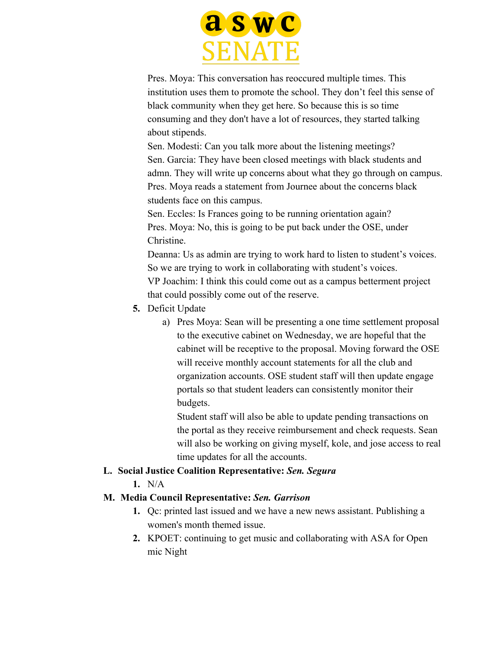

Pres. Moya: This conversation has reoccured multiple times. This institution uses them to promote the school. They don't feel this sense of black community when they get here. So because this is so time consuming and they don't have a lot of resources, they started talking about stipends.

Sen. Modesti: Can you talk more about the listening meetings? Sen. Garcia: They have been closed meetings with black students and admn. They will write up concerns about what they go through on campus. Pres. Moya reads a statement from Journee about the concerns black students face on this campus.

Sen. Eccles: Is Frances going to be running orientation again? Pres. Moya: No, this is going to be put back under the OSE, under Christine.

Deanna: Us as admin are trying to work hard to listen to student's voices. So we are trying to work in collaborating with student's voices. VP Joachim: I think this could come out as a campus betterment project that could possibly come out of the reserve.

- **5.** Deficit Update
	- a) Pres Moya: Sean will be presenting a one time settlement proposal to the executive cabinet on Wednesday, we are hopeful that the cabinet will be receptive to the proposal. Moving forward the OSE will receive monthly account statements for all the club and organization accounts. OSE student staff will then update engage portals so that student leaders can consistently monitor their budgets.

Student staff will also be able to update pending transactions on the portal as they receive reimbursement and check requests. Sean will also be working on giving myself, kole, and jose access to real time updates for all the accounts.

#### **L. Social Justice Coalition Representative:** *Sen. Segura*

**1.** N/A

#### **M. Media Council Representative:** *Sen. Garrison*

- **1.** Qc: printed last issued and we have a new news assistant. Publishing a women's month themed issue.
- **2.** KPOET: continuing to get music and collaborating with ASA for Open mic Night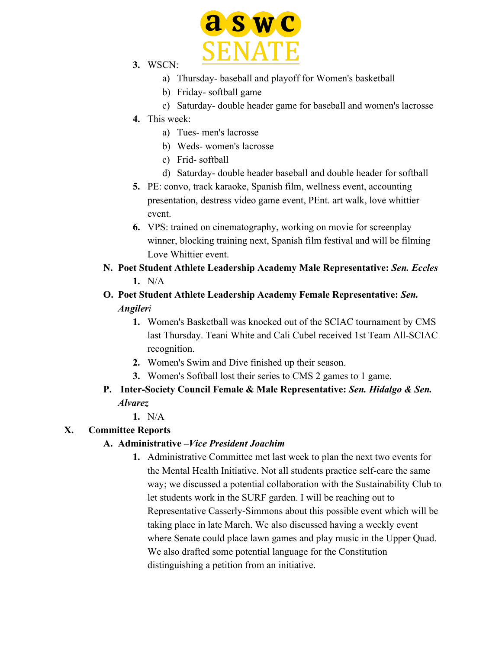

- **3.** WSCN:
	- a) Thursday- baseball and playoff for Women's basketball
	- b) Friday- softball game
	- c) Saturday- double header game for baseball and women's lacrosse
- **4.** This week:
	- a) Tues- men's lacrosse
	- b) Weds- women's lacrosse
	- c) Frid- softball
	- d) Saturday- double header baseball and double header for softball
- **5.** PE: convo, track karaoke, Spanish film, wellness event, accounting presentation, destress video game event, PEnt. art walk, love whittier event.
- **6.** VPS: trained on cinematography, working on movie for screenplay winner, blocking training next, Spanish film festival and will be filming Love Whittier event.
- **N. Poet Student Athlete Leadership Academy Male Representative:** *Sen. Eccles* **1.** N/A
- **O. Poet Student Athlete Leadership Academy Female Representative:** *Sen. Angileri*
	- **1.** Women's Basketball was knocked out of the SCIAC tournament by CMS last Thursday. Teani White and Cali Cubel received 1st Team All-SCIAC recognition.
	- **2.** Women's Swim and Dive finished up their season.
	- **3.** Women's Softball lost their series to CMS 2 games to 1 game.
- **P. Inter-Society Council Female & Male Representative:** *Sen. Hidalgo & Sen. Alvarez*
	- **1.** N/A

#### **X. Committee Reports**

#### **A. Administrative –***Vice President Joachim*

**1.** Administrative Committee met last week to plan the next two events for the Mental Health Initiative. Not all students practice self-care the same way; we discussed a potential collaboration with the Sustainability Club to let students work in the SURF garden. I will be reaching out to Representative Casserly-Simmons about this possible event which will be taking place in late March. We also discussed having a weekly event where Senate could place lawn games and play music in the Upper Quad. We also drafted some potential language for the Constitution distinguishing a petition from an initiative.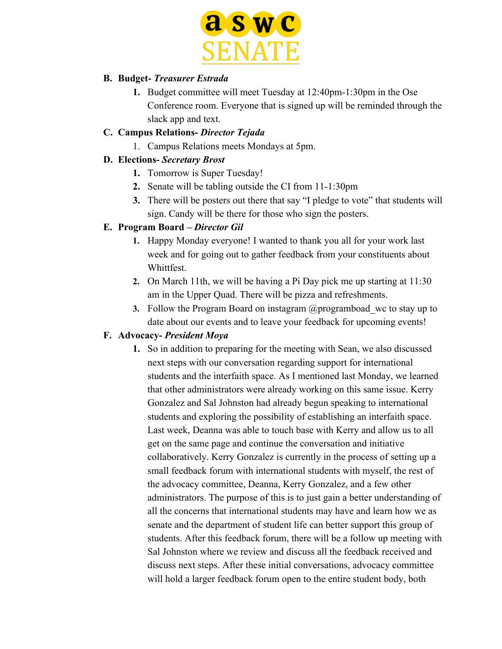

#### **B. Budget-** *Treasurer Estrada*

**1.** Budget committee will meet Tuesday at 12:40pm-1:30pm in the Ose Conference room. Everyone that is signed up will be reminded through the slack app and text.

#### **C. Campus Relations-** *Director Tejada*

1. Campus Relations meets Mondays at 5pm.

#### **D. Elections-** *Secretary Brost*

- **1.** Tomorrow is Super Tuesday!
- **2.** Senate will be tabling outside the CI from 11-1:30pm
- **3.** There will be posters out there that say "I pledge to vote" that students will sign. Candy will be there for those who sign the posters.

#### **E. Program Board –** *Director Gil*

- **1.** Happy Monday everyone! I wanted to thank you all for your work last week and for going out to gather feedback from your constituents about Whittfest.
- **2.** On March 11th, we will be having a Pi Day pick me up starting at 11:30 am in the Upper Quad. There will be pizza and refreshments.
- **3.** Follow the Program Board on instagram @programboad wc to stay up to date about our events and to leave your feedback for upcoming events!

#### **F. Advocacy-** *President Moya*

**1.** So in addition to preparing for the meeting with Sean, we also discussed next steps with our conversation regarding support for international students and the interfaith space. As I mentioned last Monday, we learned that other administrators were already working on this same issue. Kerry Gonzalez and Sal Johnston had already begun speaking to international students and exploring the possibility of establishing an interfaith space. Last week, Deanna was able to touch base with Kerry and allow us to all get on the same page and continue the conversation and initiative collaboratively. Kerry Gonzalez is currently in the process of setting up a small feedback forum with international students with myself, the rest of the advocacy committee, Deanna, Kerry Gonzalez, and a few other administrators. The purpose of this is to just gain a better understanding of all the concerns that international students may have and learn how we as senate and the department of student life can better support this group of students. After this feedback forum, there will be a follow up meeting with Sal Johnston where we review and discuss all the feedback received and discuss next steps. After these initial conversations, advocacy committee will hold a larger feedback forum open to the entire student body, both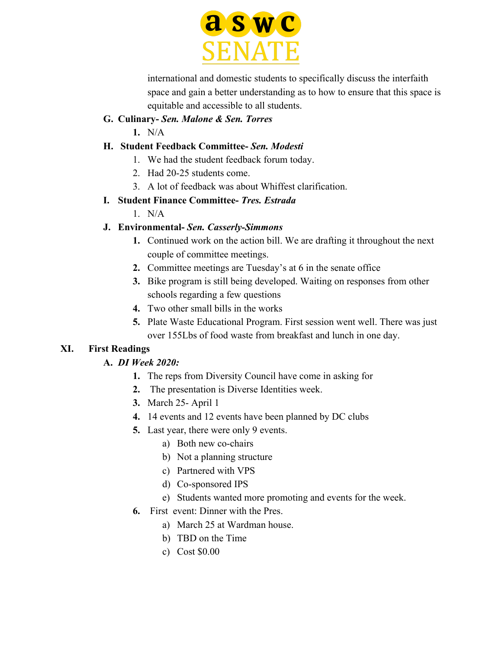

international and domestic students to specifically discuss the interfaith space and gain a better understanding as to how to ensure that this space is equitable and accessible to all students.

#### **G. Culinary-** *Sen. Malone & Sen. Torres*

**1.** N/A

#### **H. Student Feedback Committee-** *Sen. Modesti*

- 1. We had the student feedback forum today.
- 2. Had 20-25 students come.
- 3. A lot of feedback was about Whiffest clarification.
- **I. Student Finance Committee-** *Tres. Estrada*
	- $1$  N/A

# **J. Environmental-** *Sen. Casserly-Simmons*

- **1.** Continued work on the action bill. We are drafting it throughout the next couple of committee meetings.
- **2.** Committee meetings are Tuesday's at 6 in the senate office
- **3.** Bike program is still being developed. Waiting on responses from other schools regarding a few questions
- **4.** Two other small bills in the works
- **5.** Plate Waste Educational Program. First session went well. There was just over 155Lbs of food waste from breakfast and lunch in one day.

# **XI. First Readings**

# **A.** *DI Week 2020:*

- **1.** The reps from Diversity Council have come in asking for
- **2.** The presentation is Diverse Identities week.
- **3.** March 25- April 1
- **4.** 14 events and 12 events have been planned by DC clubs
- **5.** Last year, there were only 9 events.
	- a) Both new co-chairs
	- b) Not a planning structure
	- c) Partnered with VPS
	- d) Co-sponsored IPS
	- e) Students wanted more promoting and events for the week.
- **6.** First event: Dinner with the Pres.
	- a) March 25 at Wardman house.
	- b) TBD on the Time
	- c) Cost \$0.00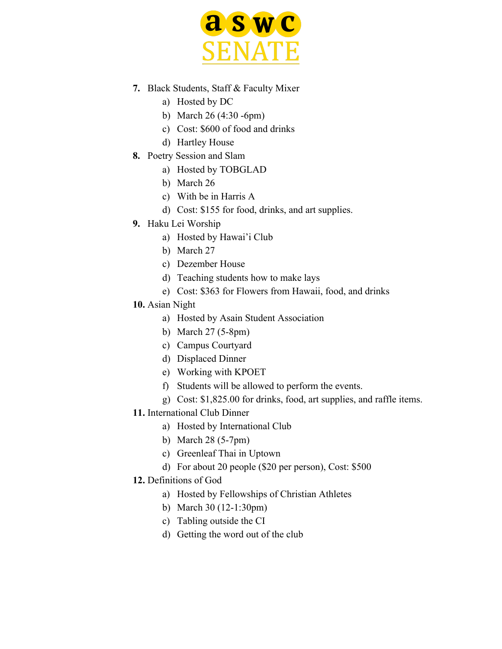

- **7.** Black Students, Staff & Faculty Mixer
	- a) Hosted by DC
	- b) March 26 (4:30 -6pm)
	- c) Cost: \$600 of food and drinks
	- d) Hartley House
- **8.** Poetry Session and Slam
	- a) Hosted by TOBGLAD
	- b) March 26
	- c) With be in Harris A
	- d) Cost: \$155 for food, drinks, and art supplies.
- **9.** Haku Lei Worship
	- a) Hosted by Hawai'i Club
	- b) March 27
	- c) Dezember House
	- d) Teaching students how to make lays
	- e) Cost: \$363 for Flowers from Hawaii, food, and drinks
- **10.** Asian Night
	- a) Hosted by Asain Student Association
	- b) March 27 (5-8pm)
	- c) Campus Courtyard
	- d) Displaced Dinner
	- e) Working with KPOET
	- f) Students will be allowed to perform the events.
	- g) Cost: \$1,825.00 for drinks, food, art supplies, and raffle items.
- **11.** International Club Dinner
	- a) Hosted by International Club
	- b) March 28 (5-7pm)
	- c) Greenleaf Thai in Uptown
	- d) For about 20 people (\$20 per person), Cost: \$500
- **12.** Definitions of God
	- a) Hosted by Fellowships of Christian Athletes
	- b) March 30 (12-1:30pm)
	- c) Tabling outside the CI
	- d) Getting the word out of the club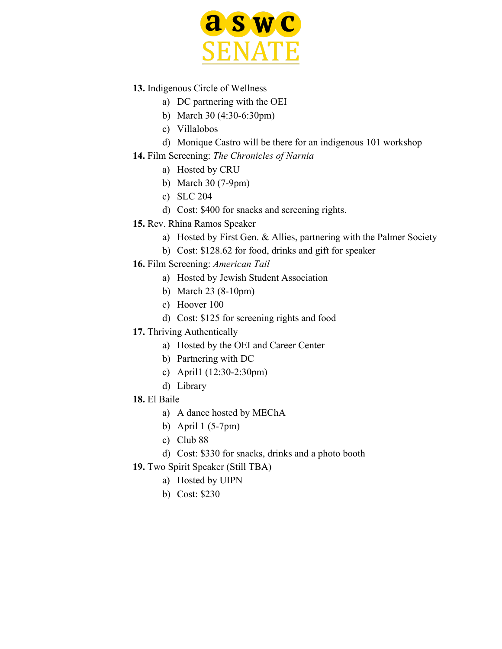

- **13.** Indigenous Circle of Wellness
	- a) DC partnering with the OEI
	- b) March 30 (4:30-6:30pm)
	- c) Villalobos
	- d) Monique Castro will be there for an indigenous 101 workshop
- **14.** Film Screening: *The Chronicles of Narnia*
	- a) Hosted by CRU
	- b) March 30 (7-9pm)
	- c) SLC 204
	- d) Cost: \$400 for snacks and screening rights.
- **15.** Rev. Rhina Ramos Speaker
	- a) Hosted by First Gen. & Allies, partnering with the Palmer Society
	- b) Cost: \$128.62 for food, drinks and gift for speaker
- **16.** Film Screening: *American Tail*
	- a) Hosted by Jewish Student Association
	- b) March 23 (8-10pm)
	- c) Hoover 100
	- d) Cost: \$125 for screening rights and food
- **17.** Thriving Authentically
	- a) Hosted by the OEI and Career Center
	- b) Partnering with DC
	- c) April1 (12:30-2:30pm)
	- d) Library
- **18.** El Baile
	- a) A dance hosted by MEChA
	- b) April 1 (5-7pm)
	- c) Club 88
	- d) Cost: \$330 for snacks, drinks and a photo booth
- **19.** Two Spirit Speaker (Still TBA)
	- a) Hosted by UIPN
	- b) Cost: \$230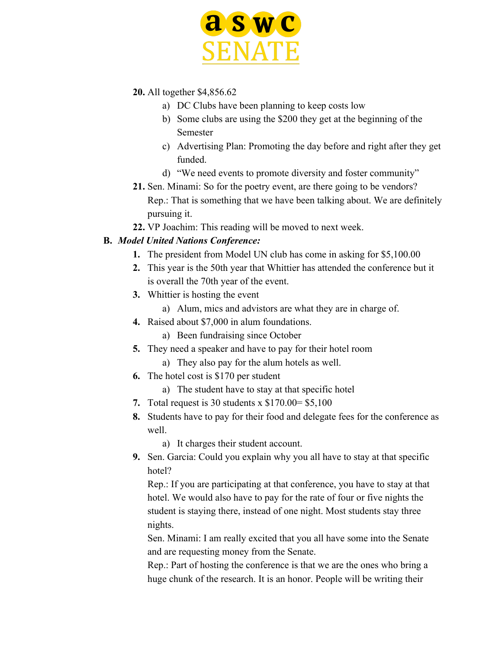

- **20.** All together \$4,856.62
	- a) DC Clubs have been planning to keep costs low
	- b) Some clubs are using the \$200 they get at the beginning of the Semester
	- c) Advertising Plan: Promoting the day before and right after they get funded.
	- d) "We need events to promote diversity and foster community"
- **21.** Sen. Minami: So for the poetry event, are there going to be vendors? Rep.: That is something that we have been talking about. We are definitely pursuing it.
- **22.** VP Joachim: This reading will be moved to next week.

#### **B.** *Model United Nations Conference:*

- **1.** The president from Model UN club has come in asking for \$5,100.00
- **2.** This year is the 50th year that Whittier has attended the conference but it is overall the 70th year of the event.
- **3.** Whittier is hosting the event
	- a) Alum, mics and advistors are what they are in charge of.
- **4.** Raised about \$7,000 in alum foundations.
	- a) Been fundraising since October
- **5.** They need a speaker and have to pay for their hotel room
	- a) They also pay for the alum hotels as well.
- **6.** The hotel cost is \$170 per student
	- a) The student have to stay at that specific hotel
- **7.** Total request is 30 students x \$170.00= \$5,100
- **8.** Students have to pay for their food and delegate fees for the conference as well.

a) It charges their student account.

**9.** Sen. Garcia: Could you explain why you all have to stay at that specific hotel?

Rep.: If you are participating at that conference, you have to stay at that hotel. We would also have to pay for the rate of four or five nights the student is staying there, instead of one night. Most students stay three nights.

Sen. Minami: I am really excited that you all have some into the Senate and are requesting money from the Senate.

Rep.: Part of hosting the conference is that we are the ones who bring a huge chunk of the research. It is an honor. People will be writing their